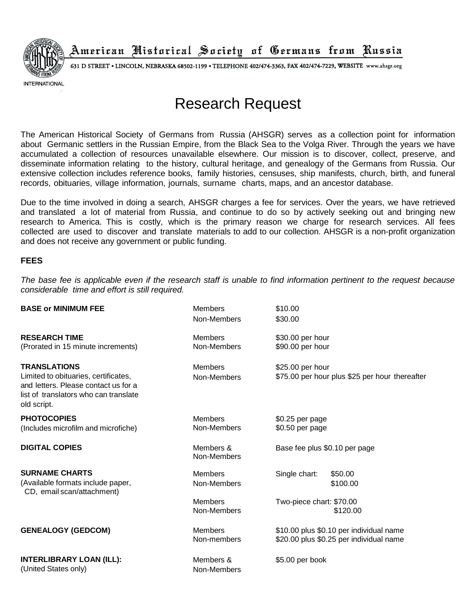

American Nistorical Society of Germans from Russia

631 D STREET . LINCOLN, NEBRASKA 68502-1199 . TELEPHONE 402/474-3363, FAX 402/474-7229, WEBSITE www.ahsgr.org

**INTERNATIONAL** 

## Research Request

The American Historical Society of Germans from Russia (AHSGR) serves as a collection point for information about Germanic settlers in the Russian Empire, from the Black Sea to the Volga River. Through the years we have accumulated a collection of resources unavailable elsewhere. Our mission is to discover, collect, preserve, and disseminate information relating to the history, cultural heritage, and genealogy of the Germans from Russia. Our extensive collection includes reference books, family histories, censuses, ship manifests, church, birth, and funeral records, obituaries, village information, journals, surname charts, maps, and an ancestor database.

Due to the time involved in doing a search, AHSGR charges a fee for services. Over the years, we have retrieved and translated a lot of material from Russia, and continue to do so by actively seeking out and bringing new research to America. This is costly, which is the primary reason we charge for research services. All fees collected are used to discover and translate materials to add to our collection. AHSGR is a non-profit organization and does not receive any government or public funding.

## **FEES**

The base fee is applicable even if the research staff is unable to find information pertinent to the request because *considerable time and effort is still required.*

| <b>BASE or MINIMUM FEE</b>                                                                                                                                  | <b>Members</b><br>Non-Members | \$10.00<br>\$30.00                                                                 |
|-------------------------------------------------------------------------------------------------------------------------------------------------------------|-------------------------------|------------------------------------------------------------------------------------|
| <b>RESEARCH TIME</b><br>(Prorated in 15 minute increments)                                                                                                  | <b>Members</b><br>Non-Members | \$30.00 per hour<br>\$90.00 per hour                                               |
| <b>TRANSLATIONS</b><br>Limited to obituaries, certificates,<br>and letters. Please contact us for a<br>list of translators who can translate<br>old script. | <b>Members</b><br>Non-Members | \$25.00 per hour<br>\$75.00 per hour plus \$25 per hour thereafter                 |
| <b>PHOTOCOPIES</b><br>(Includes microfilm and microfiche)                                                                                                   | <b>Members</b><br>Non-Members | \$0.25 per page<br>\$0.50 per page                                                 |
| <b>DIGITAL COPIES</b>                                                                                                                                       | Members &<br>Non-Members      | Base fee plus \$0.10 per page                                                      |
| <b>SURNAME CHARTS</b><br>(Available formats include paper,<br>CD, email scan/attachment)                                                                    | <b>Members</b><br>Non-Members | Single chart:<br>\$50.00<br>\$100.00                                               |
|                                                                                                                                                             | <b>Members</b><br>Non-Members | Two-piece chart: \$70.00<br>\$120.00                                               |
| <b>GENEALOGY (GEDCOM)</b>                                                                                                                                   | <b>Members</b><br>Non-members | \$10.00 plus \$0.10 per individual name<br>\$20.00 plus \$0.25 per individual name |
| <b>INTERLIBRARY LOAN (ILL):</b><br>(United States only)                                                                                                     | Members &<br>Non-Members      | \$5.00 per book                                                                    |